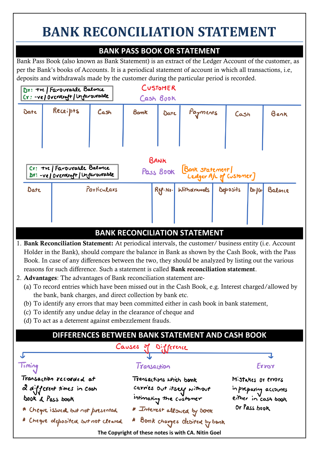# **BANK RECONCILIATION STATEMENT**

# **BANK PASS BOOK OR STATEMENT**

Bank Pass Book (also known as Bank Statement) is an extract of the Ledger Account of the customer, as per the Bank's books of Accounts. It is a periodical statement of account in which all transactions, i.e, deposits and withdrawals made by the customer during the particular period is recorded.



## **BANK RECONCILIATION STATEMENT**

- 1. Bank Reconciliation Statement: At periodical intervals, the customer/ business entity (i.e. Account Holder in the Bank), should compare the balance in Bank as shown by the Cash Book, with the Pass Book. In case of any differences between the two, they should be analyzed by listing out the various reasons for such difference. Such a statement is called Bank reconciliation statement.
- 2. Advantages: The advantages of Bank reconciliation statement are-
	- (a) To record entries which have been missed out in the Cash Book, e.g. Interest charged/allowed by the bank, bank charges, and direct collection by bank etc.
	- (b) To identify any errors that may been committed either in cash book in bank statement,
	- (c) To identify any undue delay in the clearance of cheque and
	- (d) To act as a deterrent against embezzlement frauds.

# **DIFFERENCES BETWEEN BANK STATEMENT AND CASH BOOK**

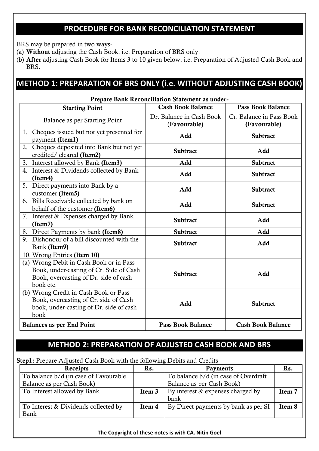# **PROCEDURE FOR BANK RECONCILIATION STATEMENT**

BRS may be prepared in two ways-

- (a) Without adjusting the Cash Book, i.e. Preparation of BRS only.
- (b) After adjusting Cash Book for Items 3 to 10 given below, i.e. Preparation of Adjusted Cash Book and BRS.

# **METHOD 1: PREPARATION OF BRS ONLY (i.e. WITHOUT ADJUSTING CASH BOOK)**

#### Prepare Bank Reconciliation Statement as under-Starting Point Cash Book Balance Pass Book Balance Balance as per Starting Point Dr. Balance in Cash Book (Favourable) Cr. Balance in Pass Book (Favourable) 1. Cheques issued but not yet presented for payment (Item1) and Subtract payment (Item1) 2. Cheques deposited into Bank but not yet credited/ cleared (Item2) Subtract Subtract Add 3. Interest allowed by Bank (Item3) Add Add Subtract 4. Interest & Dividends collected by Bank (Item4) Subtract Concrete by Bank and Add Subtract 5. Direct payments into Bank by a Effect payments into Bank by a<br>customer (Item5) and Add Subtract 6. Bills Receivable collected by bank on behalf of the customer (Item6) Add Subtract 7. Interest & Expenses charged by Bank  $\frac{1}{2}$  (Item7) Add 8. Direct Payments by bank (Item8) Subtract Add 9. Dishonour of a bill discounted with the Bank (Item9) **Subtract** Add **Subtract** Add 10. Wrong Entries (Item 10) (a) Wrong Debit in Cash Book or in Pass Book, under-casting of Cr. Side of Cash Book, overcasting of Dr. side of cash book etc. Subtract Add (b) Wrong Credit in Cash Book or Pass Book, overcasting of Cr. side of Cash book, under-casting of Dr. side of cash book Add Subtract Balances as per End Point Pass Book Balance | Cash Book Balance

## **METHOD 2: PREPARATION OF ADJUSTED CASH BOOK AND BRS**

Step1: Prepare Adjusted Cash Book with the following Debits and Credits

| Receipts                              | Rs.    | <b>Payments</b>                      | Rs.    |
|---------------------------------------|--------|--------------------------------------|--------|
| To balance b/d (in case of Favourable |        | To balance b/d (in case of Overdraft |        |
| Balance as per Cash Book)             |        | Balance as per Cash Book)            |        |
| To Interest allowed by Bank           | Item 3 | By interest & expenses charged by    | Item 7 |
|                                       |        | bank                                 |        |
| To Interest & Dividends collected by  | Item 4 | By Direct payments by bank as per SI | Item 8 |
| Bank                                  |        |                                      |        |

#### **The Copyright of these notes is with CA. Nitin Goel**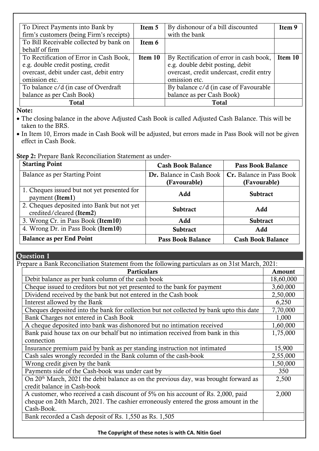| To Direct Payments into Bank by          | Item 5  | By dishonour of a bill discounted        | Item 9  |
|------------------------------------------|---------|------------------------------------------|---------|
| firm's customers (being Firm's receipts) |         | with the bank                            |         |
| To Bill Receivable collected by bank on  | Item 6  |                                          |         |
| behalf of firm                           |         |                                          |         |
| To Rectification of Error in Cash Book,  | Item 10 | By Rectification of error in cash book,  | Item 10 |
| e.g. double credit posting, credit       |         | e.g. double debit posting, debit         |         |
| overcast, debit under cast, debit entry  |         | overcast, credit undercast, credit entry |         |
| omission etc.                            |         | omission etc.                            |         |
| To balance c/d (in case of Overdraft     |         | By balance c/d (in case of Favourable    |         |
| balance as per Cash Book)                |         | balance as per Cash Book)                |         |
| <b>Total</b>                             |         | <b>Total</b>                             |         |

Note:

• The closing balance in the above Adjusted Cash Book is called Adjusted Cash Balance. This will be taken to the BRS.

• In Item 10, Errors made in Cash Book will be adjusted, but errors made in Pass Book will not be given effect in Cash Book.

Step 2: Prepare Bank Reconciliation Statement as under-

| <b>Starting Point</b>                                                  | <b>Cash Book Balance</b> | <b>Pass Book Balance</b> |
|------------------------------------------------------------------------|--------------------------|--------------------------|
| Balance as per Starting Point                                          | Dr. Balance in Cash Book | Cr. Balance in Pass Book |
|                                                                        | (Favourable)             | (Favourable)             |
| 1. Cheques issued but not yet presented for<br>payment (Item1)         | Add                      | <b>Subtract</b>          |
| 2. Cheques deposited into Bank but not yet<br>credited/cleared (Item2) | <b>Subtract</b>          | Add                      |
| 3. Wrong Cr. in Pass Book (Item10)                                     | Add                      | <b>Subtract</b>          |
| 4. Wrong Dr. in Pass Book (Item10)                                     | <b>Subtract</b>          | Add                      |
| <b>Balance as per End Point</b>                                        | <b>Pass Book Balance</b> | <b>Cash Book Balance</b> |

## Question 1

| Prepare a Bank Reconciliation Statement from the following particulars as on 31st March, 2021:   |           |  |
|--------------------------------------------------------------------------------------------------|-----------|--|
| <b>Particulars</b>                                                                               | Amount    |  |
| Debit balance as per bank column of the cash book                                                | 18,60,000 |  |
| Cheque issued to creditors but not yet presented to the bank for payment                         | 3,60,000  |  |
| Dividend received by the bank but not entered in the Cash book                                   | 2,50,000  |  |
| Interest allowed by the Bank                                                                     | 6,250     |  |
| Cheques deposited into the bank for collection but not collected by bank upto this date          | 7,70,000  |  |
| Bank Charges not entered in Cash Book                                                            | 1,000     |  |
| A cheque deposited into bank was dishonored but no intimation received                           | 1,60,000  |  |
| Bank paid house tax on our behalf but no intimation received from bank in this                   | 1,75,000  |  |
| connection                                                                                       |           |  |
| Insurance premium paid by bank as per standing instruction not intimated                         | 15,900    |  |
| Cash sales wrongly recorded in the Bank column of the cash-book                                  | 2,55,000  |  |
| Wrong credit given by the bank                                                                   | 1,50,000  |  |
| Payments side of the Cash-book was under cast by                                                 | 350       |  |
| On 20 <sup>th</sup> March, 2021 the debit balance as on the previous day, was brought forward as | 2,500     |  |
| credit balance in Cash-book                                                                      |           |  |
| A customer, who received a cash discount of 5% on his account of Rs. 2,000, paid                 | 2,000     |  |
| cheque on 24th March, 2021. The cashier erroneously entered the gross amount in the              |           |  |
| Cash-Book.                                                                                       |           |  |
| Bank recorded a Cash deposit of Rs. 1,550 as Rs. 1,505                                           |           |  |
|                                                                                                  |           |  |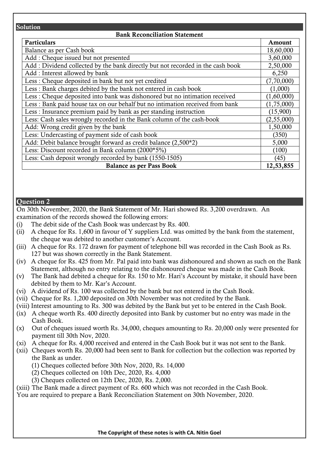#### Solution

## Bank Reconciliation Statement

| Particulars                                                                    | Amount     |
|--------------------------------------------------------------------------------|------------|
| Balance as per Cash book                                                       | 18,60,000  |
| Add: Cheque issued but not presented                                           | 3,60,000   |
| Add: Dividend collected by the bank directly but not recorded in the cash book | 2,50,000   |
| Add: Interest allowed by bank                                                  | 6,250      |
| Less: Cheque deposited in bank but not yet credited                            | (7,70,000) |
| Less: Bank charges debited by the bank not entered in cash book                | (1,000)    |
| Less : Cheque deposited into bank was dishonored but no intimation received    | (1,60,000) |
| Less: Bank paid house tax on our behalf but no intimation received from bank   | (1,75,000) |
| Less : Insurance premium paid by bank as per standing instruction              | (15,900)   |
| Less: Cash sales wrongly recorded in the Bank column of the cash-book          | (2,55,000) |
| Add: Wrong credit given by the bank                                            | 1,50,000   |
| Less: Undercasting of payment side of cash book                                | (350)      |
| Add: Debit balance brought forward as credit balance (2,500*2)                 | 5,000      |
| Less: Discount recorded in Bank column (2000*5%)                               | (100)      |
| Less: Cash deposit wrongly recorded by bank (1550-1505)                        | (45)       |
| <b>Balance as per Pass Book</b>                                                | 12,53,855  |

## Question 2

On 30th November, 2020, the Bank Statement of Mr. Hari showed Rs. 3,200 overdrawn. An examination of the records showed the following errors:

- (i) The debit side of the Cash Book was undercast by Rs. 400.
- (ii) A cheque for Rs. 1,600 in favour of Y suppliers Ltd. was omitted by the bank from the statement, the cheque was debited to another customer's Account.
- (iii) A cheque for Rs. 172 drawn for payment of telephone bill was recorded in the Cash Book as Rs. 127 but was shown correctly in the Bank Statement.
- (iv) A cheque for Rs. 425 from Mr. Pal paid into bank was dishonoured and shown as such on the Bank Statement, although no entry relating to the dishonoured cheque was made in the Cash Book.
- (v) The Bank had debited a cheque for Rs. 150 to Mr. Hari's Account by mistake, it should have been debited by them to Mr. Kar's Account.
- (vi) A dividend of Rs. 100 was collected by the bank but not entered in the Cash Book.
- (vii) Cheque for Rs. 1,200 deposited on 30th November was not credited by the Bank.
- (viii) Interest amounting to Rs. 300 was debited by the Bank but yet to be entered in the Cash Book.
- (ix) A cheque worth Rs. 400 directly deposited into Bank by customer but no entry was made in the Cash Book.
- (x) Out of cheques issued worth Rs. 34,000, cheques amounting to Rs. 20,000 only were presented for payment till 30th Nov, 2020.
- (xi) A cheque for Rs. 4,000 received and entered in the Cash Book but it was not sent to the Bank.
- (xii) Cheques worth Rs. 20,000 had been sent to Bank for collection but the collection was reported by the Bank as under.
	- (1) Cheques collected before 30th Nov, 2020, Rs. 14,000
	- (2) Cheques collected on 10th Dec, 2020, Rs. 4,000
	- (3) Cheques collected on 12th Dec, 2020, Rs. 2,000.
- (xiii) The Bank made a direct payment of Rs. 600 which was not recorded in the Cash Book.
- You are required to prepare a Bank Reconciliation Statement on 30th November, 2020.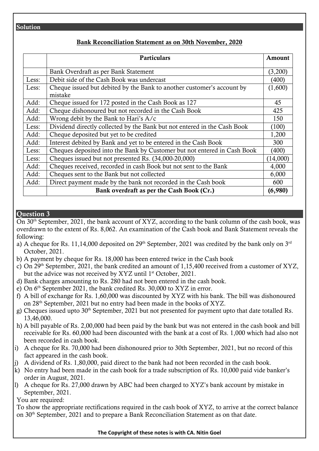## Solution

## Bank Reconciliation Statement as on 30th November, 2020

|       | <b>Particulars</b>                                                                | Amount   |
|-------|-----------------------------------------------------------------------------------|----------|
|       | Bank Overdraft as per Bank Statement                                              | (3,200)  |
| Less: | Debit side of the Cash Book was undercast                                         | (400)    |
| Less: | Cheque issued but debited by the Bank to another customer's account by<br>mistake | (1,600)  |
| Add:  | Cheque issued for 172 posted in the Cash Book as 127                              | 45       |
| Add:  | Cheque dishonoured but not recorded in the Cash Book                              | 425      |
| Add:  | Wrong debit by the Bank to Hari's A/c                                             | 150      |
| Less: | Dividend directly collected by the Bank but not entered in the Cash Book          | (100)    |
| Add:  | Cheque deposited but yet to be credited                                           | 1,200    |
| Add:  | Interest debited by Bank and yet to be entered in the Cash Book                   | 300      |
| Less: | Cheques deposited into the Bank by Customer but not entered in Cash Book          | (400)    |
| Less: | Cheques issued but not presented Rs. (34,000-20,000)                              | (14,000) |
| Add:  | Cheques received, recorded in cash Book but not sent to the Bank                  | 4,000    |
| Add:  | Cheques sent to the Bank but not collected                                        | 6,000    |
| Add:  | Direct payment made by the bank not recorded in the Cash book                     | 600      |
|       | Bank overdraft as per the Cash Book (Cr.)                                         | (6,980)  |

## Question 3

On 30<sup>th</sup> September, 2021, the bank account of XYZ, according to the bank column of the cash book, was overdrawn to the extent of Rs. 8,062. An examination of the Cash book and Bank Statement reveals the following:

- a) A cheque for Rs. 11,14,000 deposited on  $29<sup>th</sup>$  September, 2021 was credited by the bank only on  $3<sup>rd</sup>$ October, 2021.
- b) A payment by cheque for Rs. 18,000 has been entered twice in the Cash book
- c) On 29th September, 2021, the bank credited an amount of 1,15,400 received from a customer of XYZ, but the advice was not received by XYZ until 1<sup>st</sup> October, 2021.
- d) Bank charges amounting to Rs. 280 had not been entered in the cash book.
- e) On 6th September 2021, the bank credited Rs. 30,000 to XYZ in error.
- f) A bill of exchange for Rs. 1,60,000 was discounted by XYZ with his bank. The bill was dishonoured on 28th September, 2021 but no entry had been made in the books of XYZ.
- g) Cheques issued upto 30<sup>th</sup> September, 2021 but not presented for payment upto that date totalled Rs. 13,46,000.
- h) A bill payable of Rs. 2,00,000 had been paid by the bank but was not entered in the cash book and bill receivable for Rs. 60,000 had been discounted with the bank at a cost of Rs. 1,000 which had also not been recorded in cash book.
- i) A cheque for Rs. 70,000 had been dishonoured prior to 30th September, 2021, but no record of this fact appeared in the cash book.
- j) A dividend of Rs. 1,80,000, paid direct to the bank had not been recorded in the cash book.
- k) No entry had been made in the cash book for a trade subscription of Rs. 10,000 paid vide banker's order in August, 2021.
- l) A cheque for Rs. 27,000 drawn by ABC had been charged to XYZ's bank account by mistake in September, 2021.

You are required:

To show the appropriate rectifications required in the cash book of XYZ, to arrive at the correct balance on 30<sup>th</sup> September, 2021 and to prepare a Bank Reconciliation Statement as on that date.